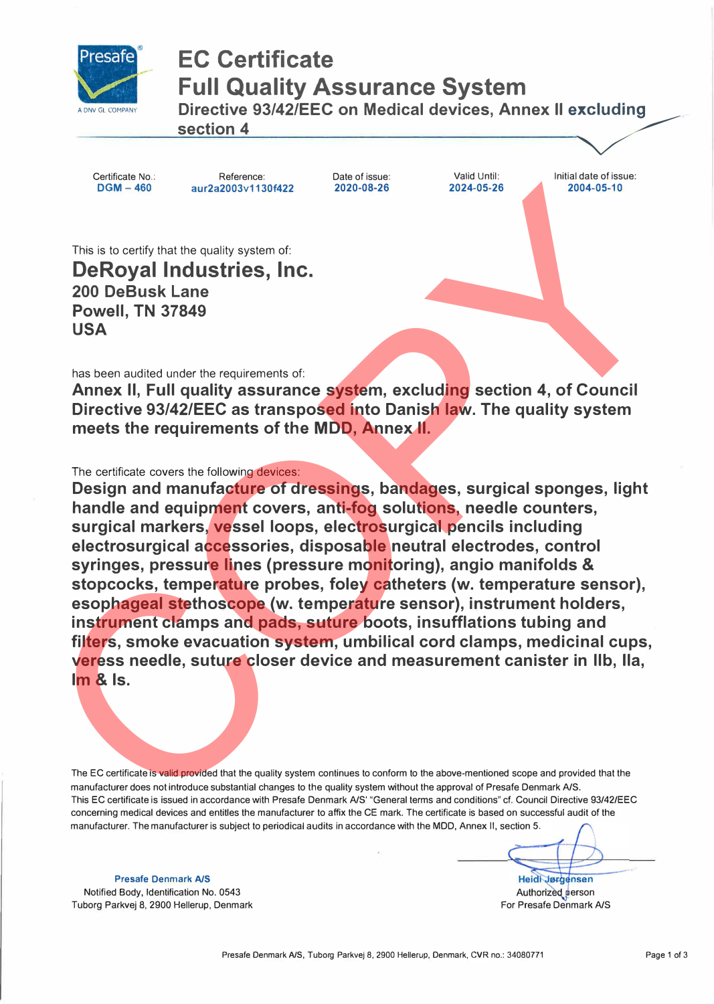

#### **EC Certificate Full Quality Assurance System**

A DNV GL COMPANY **Directive 93/42/EEC on Medical devices, Annex II excluding**<br>section 4

Certificate No.: **DGM-460** 

Reference: **aur2a2003v1130f422**  Date of issue: **2020-08-26** 

Valid Until: **2024-05-26**  Initial date of issue: **2004-05-10** 

This is to certify that the quality system of: **DeRoyal Industries, Inc. 200 DeBusk Lane Powell, TN 37849 USA** 

has been audited under the requirements of:

**Annex II, Full quality assurance system, excluding section 4, of Council Directive 93/42/EEC as transposed into Danish law. The quality system meets the requirements of the MOD, Annex II.** 

The certificate covers the following devices:

**Design and manufacture of dressings, bandages, surgical sponges, light handle and equipment covers, anti-fog solutions, needle counters, surgical markers, vessel loops, electrosurgical pencils including electrosurgical accessories, disposable neutral electrodes, control syringes, pressure lines (pressure monitoring), angio manifolds & stopcocks, temperature probes, foley catheters (w. temperature sensor), esophageal stethoscope (w. temperature sensor), instrument holders, instrument clamps and pads, suture boots, insufflations tubing and filters, smoke evacuation system, umbilical cord clamps, medicinal cups, veress needle, suture closer device and measurement canister in llb, Ila, Im & Is.**  DGM - 400<br>
Blue six ocets<sup>(y</sup>) that the cuality system of:<br>
De Royal Industries, Inc.<br>
2020-05-20<br>
DeBusk Lane<br>
USA<br>
Has been audited under the requirements of:<br>
Annex II, Full quality assurance system, excluding section 4

The EC certificate is valid provided that the quality system continues to conform to the above-mentioned scope and provided that the manufacturer does not introduce substantial changes to the quality system without the approval of Presafe Denmark A/S. This EC certificate is issued in accordance with Presafe Denmark A/S' "General terms and conditions" cf. Council Directive 93/42/EEC concerning medical devices and entitles the manufacturer to affix the CE mark. The certificate is based on successful audit of the manufacturer. The manufacturer is subject to periodical audits in accordance with the MOD, Annex 11, section 5.

Heidi Jørgensen Authorized person

**Presafe Denmark A/S**  Notified Body, Identification No. 0543 Tuborg Parkvej 8, 2900 Hellerup, Denmark

For Presafe Denmark A/S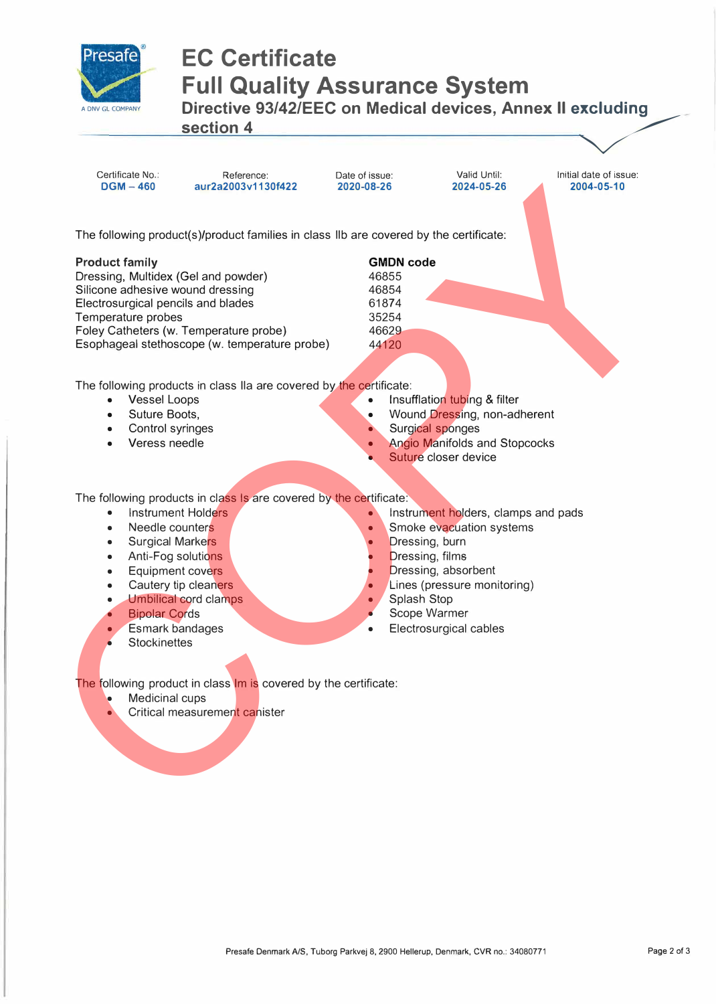

# **EC Certificate Full Quality Assurance System Directive 93/42/EEC on Medical devices, Annex II excluding section 4 and Section 4**